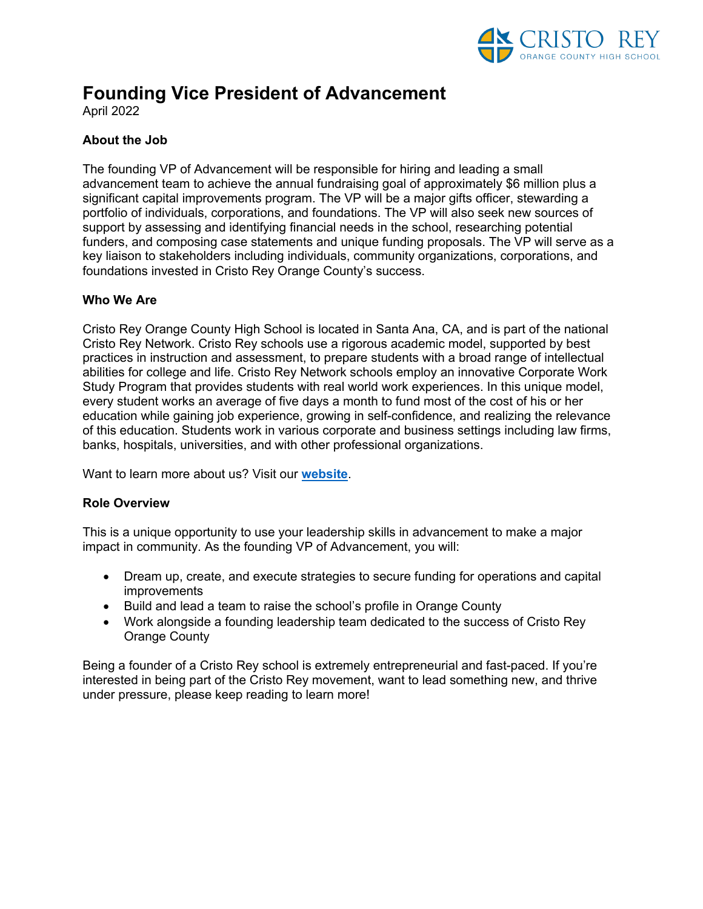

# **Founding Vice President of Advancement**

April 2022

## **About the Job**

The founding VP of Advancement will be responsible for hiring and leading a small advancement team to achieve the annual fundraising goal of approximately \$6 million plus a significant capital improvements program. The VP will be a major gifts officer, stewarding a portfolio of individuals, corporations, and foundations. The VP will also seek new sources of support by assessing and identifying financial needs in the school, researching potential funders, and composing case statements and unique funding proposals. The VP will serve as a key liaison to stakeholders including individuals, community organizations, corporations, and foundations invested in Cristo Rey Orange County's success.

### **Who We Are**

Cristo Rey Orange County High School is located in Santa Ana, CA, and is part of the national Cristo Rey Network. Cristo Rey schools use a rigorous academic model, supported by best practices in instruction and assessment, to prepare students with a broad range of intellectual abilities for college and life. Cristo Rey Network schools employ an innovative Corporate Work Study Program that provides students with real world work experiences. In this unique model, every student works an average of five days a month to fund most of the cost of his or her education while gaining job experience, growing in self-confidence, and realizing the relevance of this education. Students work in various corporate and business settings including law firms, banks, hospitals, universities, and with other professional organizations.

Want to learn more about us? Visit our **website**.

#### **Role Overview**

This is a unique opportunity to use your leadership skills in advancement to make a major impact in community. As the founding VP of Advancement, you will:

- Dream up, create, and execute strategies to secure funding for operations and capital improvements
- Build and lead a team to raise the school's profile in Orange County
- Work alongside a founding leadership team dedicated to the success of Cristo Rey Orange County

Being a founder of a Cristo Rey school is extremely entrepreneurial and fast-paced. If you're interested in being part of the Cristo Rey movement, want to lead something new, and thrive under pressure, please keep reading to learn more!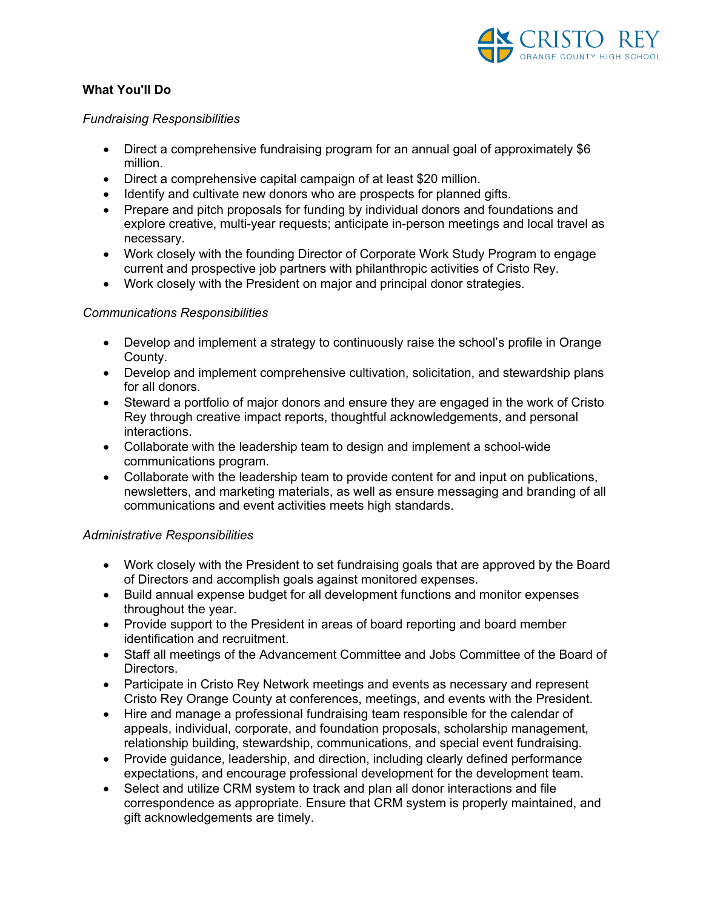

## **What You'll Do**

#### *Fundraising Responsibilities*

- Direct a comprehensive fundraising program for an annual goal of approximately \$6 million.
- Direct a comprehensive capital campaign of at least \$20 million.
- Identify and cultivate new donors who are prospects for planned gifts.
- Prepare and pitch proposals for funding by individual donors and foundations and explore creative, multi-year requests; anticipate in-person meetings and local travel as necessary.
- Work closely with the founding Director of Corporate Work Study Program to engage current and prospective job partners with philanthropic activities of Cristo Rey.
- Work closely with the President on major and principal donor strategies.

#### *Communications Responsibilities*

- Develop and implement a strategy to continuously raise the school's profile in Orange County.
- Develop and implement comprehensive cultivation, solicitation, and stewardship plans for all donors.
- Steward a portfolio of major donors and ensure they are engaged in the work of Cristo Rey through creative impact reports, thoughtful acknowledgements, and personal interactions.
- Collaborate with the leadership team to design and implement a school-wide communications program.
- Collaborate with the leadership team to provide content for and input on publications, newsletters, and marketing materials, as well as ensure messaging and branding of all communications and event activities meets high standards.

#### *Administrative Responsibilities*

- Work closely with the President to set fundraising goals that are approved by the Board of Directors and accomplish goals against monitored expenses.
- Build annual expense budget for all development functions and monitor expenses throughout the year.
- Provide support to the President in areas of board reporting and board member identification and recruitment.
- Staff all meetings of the Advancement Committee and Jobs Committee of the Board of Directors.
- Participate in Cristo Rey Network meetings and events as necessary and represent Cristo Rey Orange County at conferences, meetings, and events with the President.
- Hire and manage a professional fundraising team responsible for the calendar of appeals, individual, corporate, and foundation proposals, scholarship management, relationship building, stewardship, communications, and special event fundraising.
- Provide guidance, leadership, and direction, including clearly defined performance expectations, and encourage professional development for the development team.
- Select and utilize CRM system to track and plan all donor interactions and file correspondence as appropriate. Ensure that CRM system is properly maintained, and gift acknowledgements are timely.